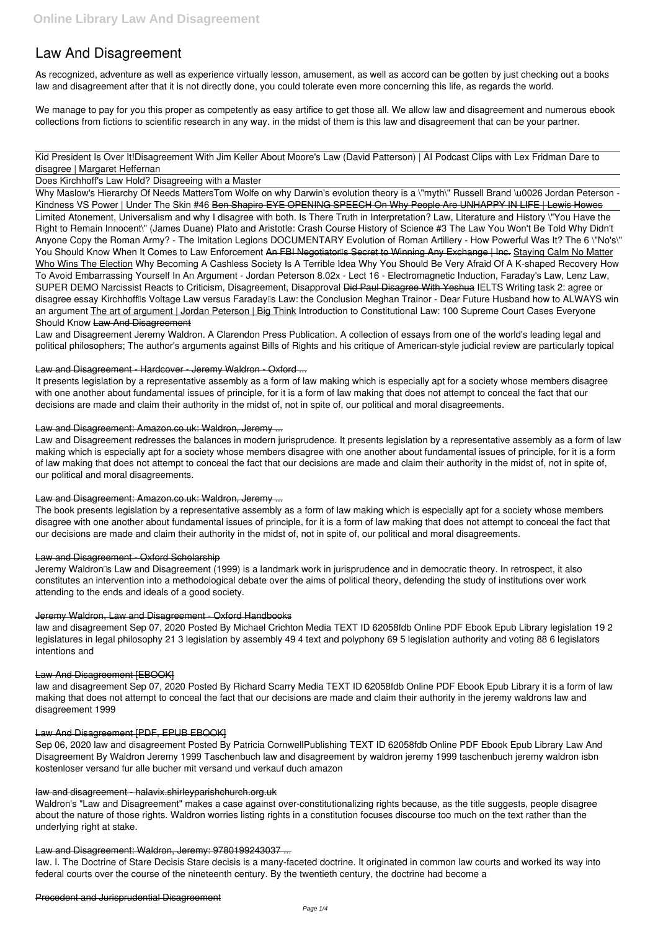# **Law And Disagreement**

As recognized, adventure as well as experience virtually lesson, amusement, as well as accord can be gotten by just checking out a books **law and disagreement** after that it is not directly done, you could tolerate even more concerning this life, as regards the world.

We manage to pay for you this proper as competently as easy artifice to get those all. We allow law and disagreement and numerous ebook collections from fictions to scientific research in any way. in the midst of them is this law and disagreement that can be your partner.

Kid President Is Over It!*Disagreement With Jim Keller About Moore's Law (David Patterson) | AI Podcast Clips with Lex Fridman Dare to disagree | Margaret Heffernan*

Does Kirchhoff's Law Hold? Disagreeing with a Master

Why Maslow's Hierarchy Of Needs Matters*Tom Wolfe on why Darwin's evolution theory is a \"myth\" Russell Brand \u0026 Jordan Peterson - Kindness VS Power | Under The Skin #46* Ben Shapiro EYE OPENING SPEECH On Why People Are UNHAPPY IN LIFE | Lewis Howes Limited Atonement, Universalism and why I disagree with both. Is There Truth in Interpretation? Law, Literature and History *\"You Have the Right to Remain Innocent\" (James Duane)* Plato and Aristotle: Crash Course History of Science #3 The Law You Won't Be Told *Why Didn't Anyone Copy the Roman Army? - The Imitation Legions DOCUMENTARY* Evolution of Roman Artillery - How Powerful Was It? The 6 \"No's\" You Should Know When It Comes to Law Enforcement An FBI Negotiatorlls Secret to Winning Any Exchange | Inc. Staving Calm No Matter Who Wins The Election *Why Becoming A Cashless Society Is A Terrible Idea* Why You Should Be Very Afraid Of A K-shaped Recovery *How To Avoid Embarrassing Yourself In An Argument - Jordan Peterson 8.02x - Lect 16 - Electromagnetic Induction, Faraday's Law, Lenz Law, SUPER DEMO Narcissist Reacts to Criticism, Disagreement, Disapproval* Did Paul Disagree With Yeshua **IELTS Writing task 2: agree or** disagree essay Kirchhofflls Voltage Law versus Faradaylls Law: the Conclusion Meghan Trainor - Dear Future Husband how to ALWAYS win an argument The art of argument | Jordan Peterson | Big Think **Introduction to Constitutional Law: 100 Supreme Court Cases Everyone Should Know** Law And Disagreement

Jeremy Waldron<sup>®</sup>s Law and Disagreement (1999) is a landmark work in jurisprudence and in democratic theory. In retrospect, it also constitutes an intervention into a methodological debate over the aims of political theory, defending the study of institutions over work attending to the ends and ideals of a good society.

Law and Disagreement Jeremy Waldron. A Clarendon Press Publication. A collection of essays from one of the world's leading legal and political philosophers; The author's arguments against Bills of Rights and his critique of American-style judicial review are particularly topical

### Law and Disagreement - Hardcover - Jeremy Waldron - Oxford ...

It presents legislation by a representative assembly as a form of law making which is especially apt for a society whose members disagree with one another about fundamental issues of principle, for it is a form of law making that does not attempt to conceal the fact that our decisions are made and claim their authority in the midst of, not in spite of, our political and moral disagreements.

### Law and Disagreement: Amazon.co.uk: Waldron, Jeremy ...

Law and Disagreement redresses the balances in modern jurisprudence. It presents legislation by a representative assembly as a form of law making which is especially apt for a society whose members disagree with one another about fundamental issues of principle, for it is a form of law making that does not attempt to conceal the fact that our decisions are made and claim their authority in the midst of, not in spite of, our political and moral disagreements.

### Law and Disagreement: Amazon.co.uk: Waldron, Jeremy ...

The book presents legislation by a representative assembly as a form of law making which is especially apt for a society whose members disagree with one another about fundamental issues of principle, for it is a form of law making that does not attempt to conceal the fact that our decisions are made and claim their authority in the midst of, not in spite of, our political and moral disagreements.

### Law and Disagreement - Oxford Scholarship

### Jeremy Waldron, Law and Disagreement - Oxford Handbooks

law and disagreement Sep 07, 2020 Posted By Michael Crichton Media TEXT ID 62058fdb Online PDF Ebook Epub Library legislation 19 2 legislatures in legal philosophy 21 3 legislation by assembly 49 4 text and polyphony 69 5 legislation authority and voting 88 6 legislators intentions and

### Law And Disagreement [EBOOK]

law and disagreement Sep 07, 2020 Posted By Richard Scarry Media TEXT ID 62058fdb Online PDF Ebook Epub Library it is a form of law making that does not attempt to conceal the fact that our decisions are made and claim their authority in the jeremy waldrons law and

#### Law And Disagreement [PDF, EPUB EBOOK]

Sep 06, 2020 law and disagreement Posted By Patricia CornwellPublishing TEXT ID 62058fdb Online PDF Ebook Epub Library Law And Disagreement By Waldron Jeremy 1999 Taschenbuch law and disagreement by waldron jeremy 1999 taschenbuch jeremy waldron isbn kostenloser versand fur alle bucher mit versand und verkauf duch amazon

#### law and disagreement - halavix.shirleyparishchurch.org.uk

Waldron's "Law and Disagreement" makes a case against over-constitutionalizing rights because, as the title suggests, people disagree about the nature of those rights. Waldron worries listing rights in a constitution focuses discourse too much on the text rather than the underlying right at stake.

#### Law and Disagreement: Waldron, Jeremy: 9780199243037 ...

law. I. The Doctrine of Stare Decisis Stare decisis is a many-faceted doctrine. It originated in common law courts and worked its way into federal courts over the course of the nineteenth century. By the twentieth century, the doctrine had become a

Precedent and Jurisprudential Disagreement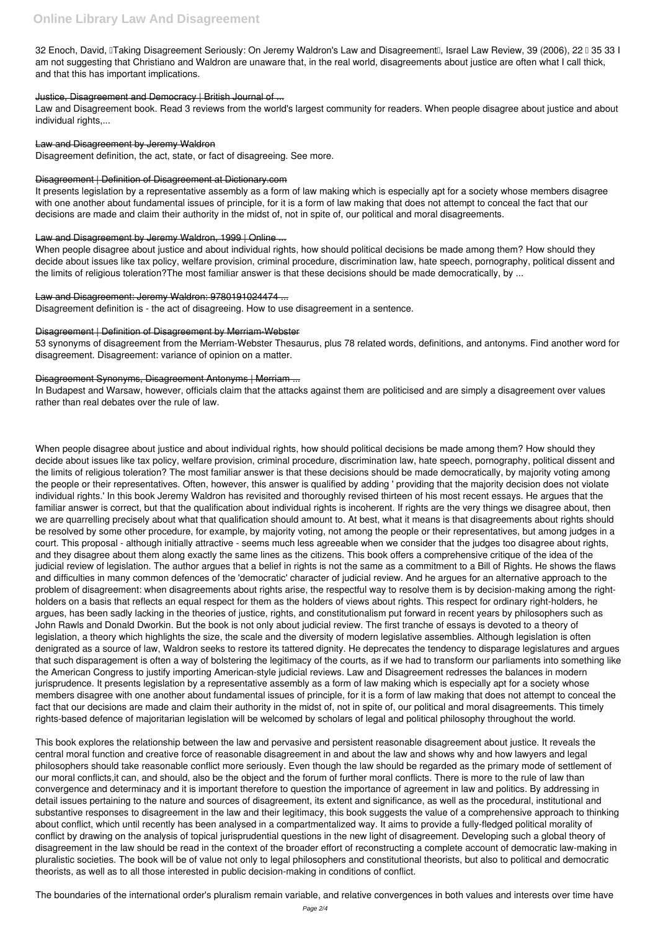32 Enoch, David, ITaking Disagreement Seriously: On Jeremy Waldron's Law and DisagreementII, Israel Law Review, 39 (2006), 22 I 35 33 I am not suggesting that Christiano and Waldron are unaware that, in the real world, disagreements about justice are often what I call thick, and that this has important implications.

### Justice, Disagreement and Democracy | British Journal of ...

Law and Disagreement book. Read 3 reviews from the world's largest community for readers. When people disagree about justice and about individual rights,...

### Law and Disagreement by Jeremy Waldron

Disagreement definition, the act, state, or fact of disagreeing. See more.

### Disagreement | Definition of Disagreement at Dictionary.com

It presents legislation by a representative assembly as a form of law making which is especially apt for a society whose members disagree with one another about fundamental issues of principle, for it is a form of law making that does not attempt to conceal the fact that our decisions are made and claim their authority in the midst of, not in spite of, our political and moral disagreements.

### Law and Disagreement by Jeremy Waldron, 1999 | Online ...

When people disagree about justice and about individual rights, how should political decisions be made among them? How should they decide about issues like tax policy, welfare provision, criminal procedure, discrimination law, hate speech, pornography, political dissent and the limits of religious toleration?The most familiar answer is that these decisions should be made democratically, by ...

### Law and Disagreement: Jeremy Waldron: 9780191024474 ...

Disagreement definition is - the act of disagreeing. How to use disagreement in a sentence.

### Disagreement | Definition of Disagreement by Merriam-Webster

53 synonyms of disagreement from the Merriam-Webster Thesaurus, plus 78 related words, definitions, and antonyms. Find another word for disagreement. Disagreement: variance of opinion on a matter.

### Disagreement Synonyms, Disagreement Antonyms | Merriam ...

In Budapest and Warsaw, however, officials claim that the attacks against them are politicised and are simply a disagreement over values rather than real debates over the rule of law.

When people disagree about justice and about individual rights, how should political decisions be made among them? How should they decide about issues like tax policy, welfare provision, criminal procedure, discrimination law, hate speech, pornography, political dissent and the limits of religious toleration? The most familiar answer is that these decisions should be made democratically, by majority voting among the people or their representatives. Often, however, this answer is qualified by adding ' providing that the majority decision does not violate individual rights.' In this book Jeremy Waldron has revisited and thoroughly revised thirteen of his most recent essays. He argues that the familiar answer is correct, but that the qualification about individual rights is incoherent. If rights are the very things we disagree about, then we are quarrelling precisely about what that qualification should amount to. At best, what it means is that disagreements about rights should be resolved by some other procedure, for example, by majority voting, not among the people or their representatives, but among judges in a court. This proposal - although initially attractive - seems much less agreeable when we consider that the judges too disagree about rights, and they disagree about them along exactly the same lines as the citizens. This book offers a comprehensive critique of the idea of the judicial review of legislation. The author argues that a belief in rights is not the same as a commitment to a Bill of Rights. He shows the flaws and difficulties in many common defences of the 'democratic' character of judicial review. And he argues for an alternative approach to the problem of disagreement: when disagreements about rights arise, the respectful way to resolve them is by decision-making among the rightholders on a basis that reflects an equal respect for them as the holders of views about rights. This respect for ordinary right-holders, he argues, has been sadly lacking in the theories of justice, rights, and constitutionalism put forward in recent years by philosophers such as John Rawls and Donald Dworkin. But the book is not only about judicial review. The first tranche of essays is devoted to a theory of legislation, a theory which highlights the size, the scale and the diversity of modern legislative assemblies. Although legislation is often denigrated as a source of law, Waldron seeks to restore its tattered dignity. He deprecates the tendency to disparage legislatures and argues that such disparagement is often a way of bolstering the legitimacy of the courts, as if we had to transform our parliaments into something like the American Congress to justify importing American-style judicial reviews. Law and Disagreement redresses the balances in modern jurisprudence. It presents legislation by a representative assembly as a form of law making which is especially apt for a society whose members disagree with one another about fundamental issues of principle, for it is a form of law making that does not attempt to conceal the

fact that our decisions are made and claim their authority in the midst of, not in spite of, our political and moral disagreements. This timely rights-based defence of majoritarian legislation will be welcomed by scholars of legal and political philosophy throughout the world.

This book explores the relationship between the law and pervasive and persistent reasonable disagreement about justice. It reveals the central moral function and creative force of reasonable disagreement in and about the law and shows why and how lawyers and legal philosophers should take reasonable conflict more seriously. Even though the law should be regarded as the primary mode of settlement of our moral conflicts,it can, and should, also be the object and the forum of further moral conflicts. There is more to the rule of law than convergence and determinacy and it is important therefore to question the importance of agreement in law and politics. By addressing in detail issues pertaining to the nature and sources of disagreement, its extent and significance, as well as the procedural, institutional and substantive responses to disagreement in the law and their legitimacy, this book suggests the value of a comprehensive approach to thinking about conflict, which until recently has been analysed in a compartmentalized way. It aims to provide a fully-fledged political morality of conflict by drawing on the analysis of topical jurisprudential questions in the new light of disagreement. Developing such a global theory of disagreement in the law should be read in the context of the broader effort of reconstructing a complete account of democratic law-making in pluralistic societies. The book will be of value not only to legal philosophers and constitutional theorists, but also to political and democratic theorists, as well as to all those interested in public decision-making in conditions of conflict.

The boundaries of the international order's pluralism remain variable, and relative convergences in both values and interests over time have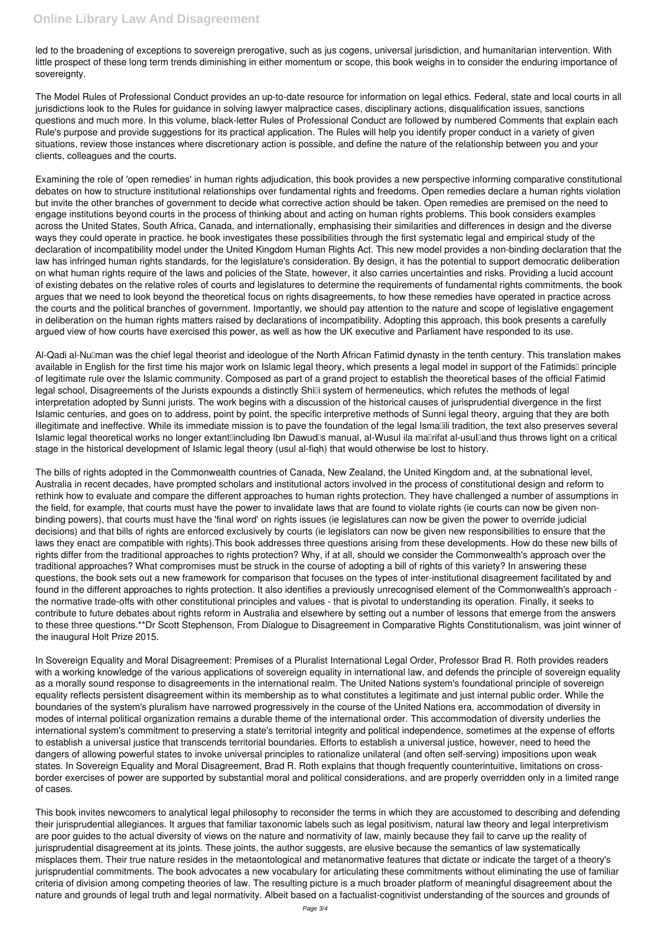led to the broadening of exceptions to sovereign prerogative, such as jus cogens, universal jurisdiction, and humanitarian intervention. With little prospect of these long term trends diminishing in either momentum or scope, this book weighs in to consider the enduring importance of sovereignty.

The Model Rules of Professional Conduct provides an up-to-date resource for information on legal ethics. Federal, state and local courts in all jurisdictions look to the Rules for guidance in solving lawyer malpractice cases, disciplinary actions, disqualification issues, sanctions questions and much more. In this volume, black-letter Rules of Professional Conduct are followed by numbered Comments that explain each Rule's purpose and provide suggestions for its practical application. The Rules will help you identify proper conduct in a variety of given situations, review those instances where discretionary action is possible, and define the nature of the relationship between you and your clients, colleagues and the courts.

Examining the role of 'open remedies' in human rights adjudication, this book provides a new perspective informing comparative constitutional debates on how to structure institutional relationships over fundamental rights and freedoms. Open remedies declare a human rights violation but invite the other branches of government to decide what corrective action should be taken. Open remedies are premised on the need to engage institutions beyond courts in the process of thinking about and acting on human rights problems. This book considers examples across the United States, South Africa, Canada, and internationally, emphasising their similarities and differences in design and the diverse ways they could operate in practice. he book investigates these possibilities through the first systematic legal and empirical study of the declaration of incompatibility model under the United Kingdom Human Rights Act. This new model provides a non-binding declaration that the law has infringed human rights standards, for the legislature's consideration. By design, it has the potential to support democratic deliberation on what human rights require of the laws and policies of the State, however, it also carries uncertainties and risks. Providing a lucid account of existing debates on the relative roles of courts and legislatures to determine the requirements of fundamental rights commitments, the book argues that we need to look beyond the theoretical focus on rights disagreements, to how these remedies have operated in practice across the courts and the political branches of government. Importantly, we should pay attention to the nature and scope of legislative engagement in deliberation on the human rights matters raised by declarations of incompatibility. Adopting this approach, this book presents a carefully argued view of how courts have exercised this power, as well as how the UK executive and Parliament have responded to its use.

Al-Qadi al-Nullman was the chief legal theorist and ideologue of the North African Fatimid dynasty in the tenth century. This translation makes available in English for the first time his major work on Islamic legal theory, which presents a legal model in support of the Fatimids<sup>[]</sup> principle of legitimate rule over the Islamic community. Composed as part of a grand project to establish the theoretical bases of the official Fatimid legal school, Disagreements of the Jurists expounds a distinctly Shilli system of hermeneutics, which refutes the methods of legal interpretation adopted by Sunni jurists. The work begins with a discussion of the historical causes of jurisprudential divergence in the first Islamic centuries, and goes on to address, point by point, the specific interpretive methods of Sunni legal theory, arguing that they are both illegitimate and ineffective. While its immediate mission is to pave the foundation of the legal Ismallili tradition, the text also preserves several Islamic legal theoretical works no longer extant lincluding Ibn Dawud Is manual, al-Wusul ila ma Irifat al-usul and thus throws light on a critical stage in the historical development of Islamic legal theory (usul al-fiqh) that would otherwise be lost to history.

The bills of rights adopted in the Commonwealth countries of Canada, New Zealand, the United Kingdom and, at the subnational level, Australia in recent decades, have prompted scholars and institutional actors involved in the process of constitutional design and reform to rethink how to evaluate and compare the different approaches to human rights protection. They have challenged a number of assumptions in the field, for example, that courts must have the power to invalidate laws that are found to violate rights (ie courts can now be given nonbinding powers), that courts must have the 'final word' on rights issues (ie legislatures can now be given the power to override judicial decisions) and that bills of rights are enforced exclusively by courts (ie legislators can now be given new responsibilities to ensure that the laws they enact are compatible with rights).This book addresses three questions arising from these developments. How do these new bills of rights differ from the traditional approaches to rights protection? Why, if at all, should we consider the Commonwealth's approach over the traditional approaches? What compromises must be struck in the course of adopting a bill of rights of this variety? In answering these questions, the book sets out a new framework for comparison that focuses on the types of inter-institutional disagreement facilitated by and found in the different approaches to rights protection. It also identifies a previously unrecognised element of the Commonwealth's approach the normative trade-offs with other constitutional principles and values - that is pivotal to understanding its operation. Finally, it seeks to contribute to future debates about rights reform in Australia and elsewhere by setting out a number of lessons that emerge from the answers to these three questions.\*\*Dr Scott Stephenson, From Dialogue to Disagreement in Comparative Rights Constitutionalism, was joint winner of the inaugural Holt Prize 2015.

In Sovereign Equality and Moral Disagreement: Premises of a Pluralist International Legal Order, Professor Brad R. Roth provides readers with a working knowledge of the various applications of sovereign equality in international law, and defends the principle of sovereign equality as a morally sound response to disagreements in the international realm. The United Nations system's foundational principle of sovereign equality reflects persistent disagreement within its membership as to what constitutes a legitimate and just internal public order. While the boundaries of the system's pluralism have narrowed progressively in the course of the United Nations era, accommodation of diversity in modes of internal political organization remains a durable theme of the international order. This accommodation of diversity underlies the international system's commitment to preserving a state's territorial integrity and political independence, sometimes at the expense of efforts to establish a universal justice that transcends territorial boundaries. Efforts to establish a universal justice, however, need to heed the dangers of allowing powerful states to invoke universal principles to rationalize unilateral (and often self-serving) impositions upon weak states. In Sovereign Equality and Moral Disagreement, Brad R. Roth explains that though frequently counterintuitive, limitations on crossborder exercises of power are supported by substantial moral and political considerations, and are properly overridden only in a limited range of cases.

This book invites newcomers to analytical legal philosophy to reconsider the terms in which they are accustomed to describing and defending their jurisprudential allegiances. It argues that familiar taxonomic labels such as legal positivism, natural law theory and legal interpretivism are poor guides to the actual diversity of views on the nature and normativity of law, mainly because they fail to carve up the reality of jurisprudential disagreement at its joints. These joints, the author suggests, are elusive because the semantics of law systematically misplaces them. Their true nature resides in the metaontological and metanormative features that dictate or indicate the target of a theory's jurisprudential commitments. The book advocates a new vocabulary for articulating these commitments without eliminating the use of familiar criteria of division among competing theories of law. The resulting picture is a much broader platform of meaningful disagreement about the nature and grounds of legal truth and legal normativity. Albeit based on a factualist-cognitivist understanding of the sources and grounds of